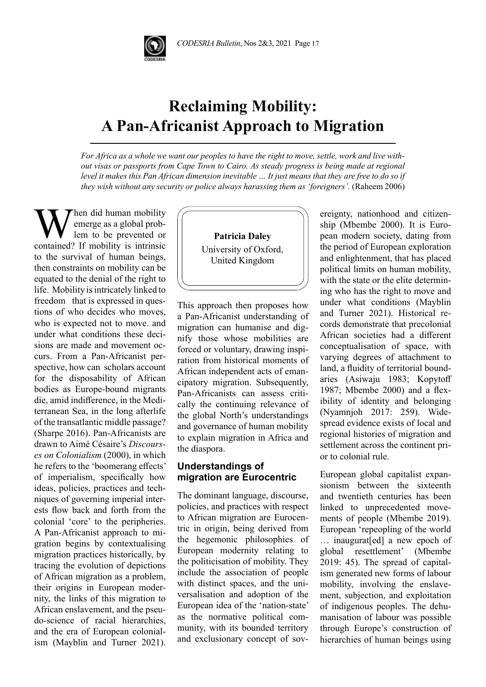

# **Reclaiming Mobility: A Pan-Africanist Approach to Migration**

*For Africa as a whole we want our peoples to have the right to move, settle, work and live without visas or passports from Cape Town to Cairo. As steady progress is being made at regional level it makes this Pan African dimension inevitable … It just means that they are free to do so if they wish without any security or police always harassing them as 'foreigners'*. (Raheem 2006)

When did human mobility<br>lem to be prevented or<br>contained? If mobility is intrinsic emerge as a global problem to be prevented or contained? If mobility is intrinsic to the survival of human beings, then constraints on mobility can be equated to the denial of the right to life. Mobility is intricately linked to freedom that is expressed in questions of who decides who moves, who is expected not to move. and under what conditions these decisions are made and movement occurs. From a Pan-Africanist perspective, how can scholars account for the disposability of African bodies as Europe-bound migrants die, amid indifference, in the Mediterranean Sea, in the long afterlife of the transatlantic middle passage? (Sharpe 2016). Pan-Africanists are drawn to Aimé Césaire's *Discourses on Colonialism* (2000), in which he refers to the 'boomerang effects' of imperialism, specifically how ideas, policies, practices and techniques of governing imperial interests flow back and forth from the colonial 'core' to the peripheries. A Pan-Africanist approach to migration begins by contextualising migration practices historically, by tracing the evolution of depictions of African migration as a problem, their origins in European modernity, the links of this migration to African enslavement, and the pseudo-science of racial hierarchies, and the era of European colonialism (Mayblin and Turner 2021).

**Patricia Daley** University of Oxford, United Kingdom

This approach then proposes how a Pan-Africanist understanding of migration can humanise and dignify those whose mobilities are forced or voluntary, drawing inspiration from historical moments of African independent acts of emancipatory migration. Subsequently, Pan-Africanists can assess critically the continuing relevance of the global North's understandings and governance of human mobility to explain migration in Africa and the diaspora.

## **Understandings of migration are Eurocentric**

The dominant language, discourse, policies, and practices with respect to African migration are Eurocentric in origin, being derived from the hegemonic philosophies of European modernity relating to the politicisation of mobility. They include the association of people with distinct spaces, and the universalisation and adoption of the European idea of the 'nation-state' as the normative political community, with its bounded territory and exclusionary concept of sovereignty, nationhood and citizenship (Mbembe 2000). It is European modern society, dating from the period of European exploration and enlightenment, that has placed political limits on human mobility, with the state or the elite determining who has the right to move and under what conditions (Mayblin and Turner 2021). Historical records demonstrate that precolonial African societies had a different conceptualisation of space, with varying degrees of attachment to land, a fluidity of territorial boundaries (Asiwaju 1983; Kopytoff 1987; Mbembe 2000) and a flexibility of identity and belonging (Nyamnjoh 2017: 259). Widespread evidence exists of local and regional histories of migration and settlement across the continent prior to colonial rule.

European global capitalist expansionism between the sixteenth and twentieth centuries has been linked to unprecedented movements of people (Mbembe 2019). European 'repeopling of the world … inaugurat[ed] a new epoch of global resettlement' (Mbembe 2019: 45). The spread of capitalism generated new forms of labour mobility, involving the enslavement, subjection, and exploitation of indigenous peoples. The dehumanisation of labour was possible through Europe's construction of hierarchies of human beings using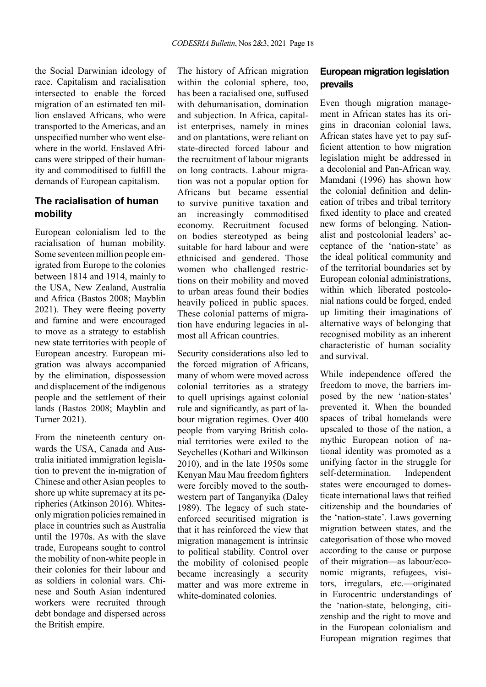the Social Darwinian ideology of race. Capitalism and racialisation intersected to enable the forced migration of an estimated ten million enslaved Africans, who were transported to the Americas, and an unspecified number who went elsewhere in the world. Enslaved Africans were stripped of their humanity and commoditised to fulfill the demands of European capitalism.

# **The racialisation of human mobility**

European colonialism led to the racialisation of human mobility. Some seventeen million people emigrated from Europe to the colonies between 1814 and 1914, mainly to the USA, New Zealand, Australia and Africa (Bastos 2008; Mayblin 2021). They were fleeing poverty and famine and were encouraged to move as a strategy to establish new state territories with people of European ancestry. European migration was always accompanied by the elimination, dispossession and displacement of the indigenous people and the settlement of their lands (Bastos 2008; Mayblin and Turner 2021).

From the nineteenth century onwards the USA, Canada and Australia initiated immigration legislation to prevent the in-migration of Chinese and other Asian peoples to shore up white supremacy at its peripheries (Atkinson 2016). Whitesonly migration policies remained in place in countries such as Australia until the 1970s. As with the slave trade, Europeans sought to control the mobility of non-white people in their colonies for their labour and as soldiers in colonial wars. Chinese and South Asian indentured workers were recruited through debt bondage and dispersed across the British empire.

The history of African migration within the colonial sphere, too, has been a racialised one, suffused with dehumanisation, domination and subjection. In Africa, capitalist enterprises, namely in mines and on plantations, were reliant on state-directed forced labour and the recruitment of labour migrants on long contracts. Labour migration was not a popular option for Africans but became essential to survive punitive taxation and an increasingly commoditised economy. Recruitment focused on bodies stereotyped as being suitable for hard labour and were ethnicised and gendered. Those women who challenged restrictions on their mobility and moved to urban areas found their bodies heavily policed in public spaces. These colonial patterns of migration have enduring legacies in almost all African countries.

Security considerations also led to the forced migration of Africans, many of whom were moved across colonial territories as a strategy to quell uprisings against colonial rule and significantly, as part of labour migration regimes. Over 400 people from varying British colonial territories were exiled to the Seychelles (Kothari and Wilkinson 2010), and in the late 1950s some Kenyan Mau Mau freedom fighters were forcibly moved to the southwestern part of Tanganyika (Daley 1989). The legacy of such stateenforced securitised migration is that it has reinforced the view that migration management is intrinsic to political stability. Control over the mobility of colonised people became increasingly a security matter and was more extreme in white-dominated colonies.

## **European migration legislation prevails**

Even though migration management in African states has its origins in draconian colonial laws, African states have yet to pay sufficient attention to how migration legislation might be addressed in a decolonial and Pan-African way. Mamdani (1996) has shown how the colonial definition and delineation of tribes and tribal territory fixed identity to place and created new forms of belonging. Nationalist and postcolonial leaders' acceptance of the 'nation-state' as the ideal political community and of the territorial boundaries set by European colonial administrations, within which liberated postcolonial nations could be forged, ended up limiting their imaginations of alternative ways of belonging that recognised mobility as an inherent characteristic of human sociality and survival.

While independence offered the freedom to move, the barriers imposed by the new 'nation-states' prevented it. When the bounded spaces of tribal homelands were upscaled to those of the nation, a mythic European notion of national identity was promoted as a unifying factor in the struggle for self-determination. Independent states were encouraged to domesticate international laws that reified citizenship and the boundaries of the 'nation-state'. Laws governing migration between states, and the categorisation of those who moved according to the cause or purpose of their migration—as labour/economic migrants, refugees, visitors, irregulars, etc.—originated in Eurocentric understandings of the 'nation-state, belonging, citizenship and the right to move and in the European colonialism and European migration regimes that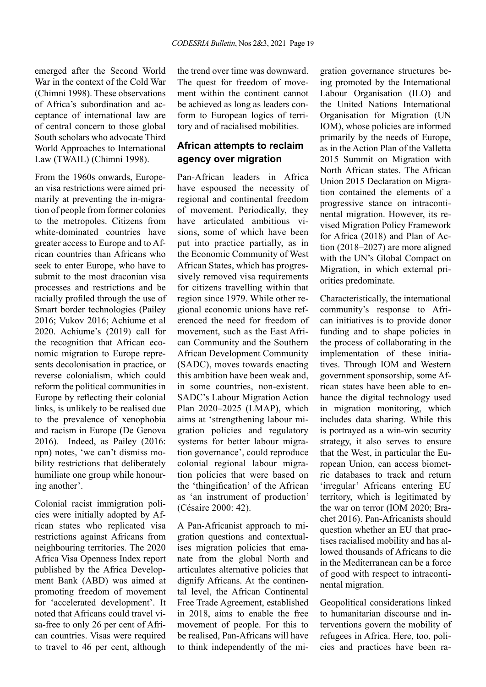emerged after the Second World War in the context of the Cold War (Chimni 1998). These observations of Africa's subordination and acceptance of international law are of central concern to those global South scholars who advocate Third World Approaches to International Law (TWAIL) (Chimni 1998).

From the 1960s onwards, European visa restrictions were aimed primarily at preventing the in-migration of people from former colonies to the metropoles. Citizens from white-dominated countries have greater access to Europe and to African countries than Africans who seek to enter Europe, who have to submit to the most draconian visa processes and restrictions and be racially profiled through the use of Smart border technologies (Pailey 2016; Vukov 2016; Achiume et al 2020. Achiume's (2019) call for the recognition that African economic migration to Europe represents decolonisation in practice, or reverse colonialism, which could reform the political communities in Europe by reflecting their colonial links, is unlikely to be realised due to the prevalence of xenophobia and racism in Europe (De Genova 2016). Indeed, as Pailey (2016: npn) notes, 'we can't dismiss mobility restrictions that deliberately humiliate one group while honouring another'.

Colonial racist immigration policies were initially adopted by African states who replicated visa restrictions against Africans from neighbouring territories. The 2020 Africa Visa Openness Index report published by the Africa Development Bank (ABD) was aimed at promoting freedom of movement for 'accelerated development'. It noted that Africans could travel visa-free to only 26 per cent of African countries. Visas were required to travel to 46 per cent, although the trend over time was downward. The quest for freedom of movement within the continent cannot be achieved as long as leaders conform to European logics of territory and of racialised mobilities.

### **African attempts to reclaim agency over migration**

Pan-African leaders in Africa have espoused the necessity of regional and continental freedom of movement. Periodically, they have articulated ambitious visions, some of which have been put into practice partially, as in the Economic Community of West African States, which has progressively removed visa requirements for citizens travelling within that region since 1979. While other regional economic unions have referenced the need for freedom of movement, such as the East African Community and the Southern African Development Community (SADC), moves towards enacting this ambition have been weak and, in some countries, non-existent. SADC's Labour Migration Action Plan 2020–2025 (LMAP), which aims at 'strengthening labour migration policies and regulatory systems for better labour migration governance', could reproduce colonial regional labour migration policies that were based on the 'thingification' of the African as 'an instrument of production' (Césaire 2000: 42).

A Pan-Africanist approach to migration questions and contextualises migration policies that emanate from the global North and articulates alternative policies that dignify Africans. At the continental level, the African Continental Free Trade Agreement, established in 2018, aims to enable the free movement of people. For this to be realised, Pan-Africans will have to think independently of the migration governance structures being promoted by the International Labour Organisation (ILO) and the United Nations International Organisation for Migration (UN IOM), whose policies are informed primarily by the needs of Europe, as in the Action Plan of the Valletta 2015 Summit on Migration with North African states. The African Union 2015 Declaration on Migration contained the elements of a progressive stance on intracontinental migration. However, its revised Migration Policy Framework for Africa (2018) and Plan of Action (2018–2027) are more aligned with the UN's Global Compact on Migration, in which external priorities predominate.

Characteristically, the international community's response to African initiatives is to provide donor funding and to shape policies in the process of collaborating in the implementation of these initiatives. Through IOM and Western government sponsorship, some African states have been able to enhance the digital technology used in migration monitoring, which includes data sharing. While this is portrayed as a win-win security strategy, it also serves to ensure that the West, in particular the European Union, can access biometric databases to track and return 'irregular' Africans entering EU territory, which is legitimated by the war on terror (IOM 2020; Brachet 2016). Pan-Africanists should question whether an EU that practises racialised mobility and has allowed thousands of Africans to die in the Mediterranean can be a force of good with respect to intracontinental migration.

Geopolitical considerations linked to humanitarian discourse and interventions govern the mobility of refugees in Africa. Here, too, policies and practices have been ra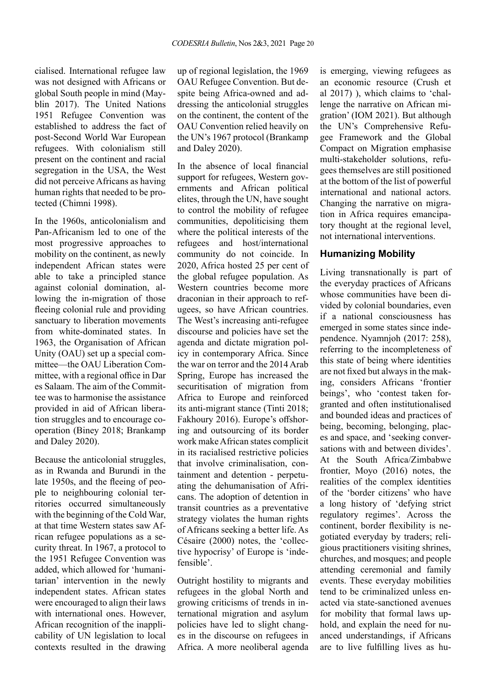cialised. International refugee law was not designed with Africans or global South people in mind (Mayblin 2017). The United Nations 1951 Refugee Convention was established to address the fact of post-Second World War European refugees. With colonialism still present on the continent and racial segregation in the USA, the West did not perceive Africans as having human rights that needed to be protected (Chimni 1998).

In the 1960s, anticolonialism and Pan-Africanism led to one of the most progressive approaches to mobility on the continent, as newly independent African states were able to take a principled stance against colonial domination, allowing the in-migration of those fleeing colonial rule and providing sanctuary to liberation movements from white-dominated states. In 1963, the Organisation of African Unity (OAU) set up a special committee—the OAU Liberation Committee, with a regional office in Dar es Salaam. The aim of the Committee was to harmonise the assistance provided in aid of African liberation struggles and to encourage cooperation (Biney 2018; Brankamp and Daley 2020).

Because the anticolonial struggles, as in Rwanda and Burundi in the late 1950s, and the fleeing of people to neighbouring colonial territories occurred simultaneously with the beginning of the Cold War, at that time Western states saw African refugee populations as a security threat. In 1967, a protocol to the 1951 Refugee Convention was added, which allowed for 'humanitarian' intervention in the newly independent states. African states were encouraged to align their laws with international ones. However, African recognition of the inapplicability of UN legislation to local contexts resulted in the drawing

up of regional legislation, the 1969 OAU Refugee Convention. But despite being Africa-owned and addressing the anticolonial struggles on the continent, the content of the OAU Convention relied heavily on the UN's 1967 protocol (Brankamp and Daley 2020).

In the absence of local financial support for refugees, Western governments and African political elites, through the UN, have sought to control the mobility of refugee communities, depoliticising them where the political interests of the refugees and host/international community do not coincide. In 2020, Africa hosted 25 per cent of the global refugee population. As Western countries become more draconian in their approach to refugees, so have African countries. The West's increasing anti-refugee discourse and policies have set the agenda and dictate migration policy in contemporary Africa. Since the war on terror and the 2014 Arab Spring, Europe has increased the securitisation of migration from Africa to Europe and reinforced its anti-migrant stance (Tinti 2018; Fakhoury 2016). Europe's offshoring and outsourcing of its border work make African states complicit in its racialised restrictive policies that involve criminalisation, containment and detention - perpetuating the dehumanisation of Africans. The adoption of detention in transit countries as a preventative strategy violates the human rights of Africans seeking a better life. As Césaire (2000) notes, the 'collective hypocrisy' of Europe is 'indefensible'.

Outright hostility to migrants and refugees in the global North and growing criticisms of trends in international migration and asylum policies have led to slight changes in the discourse on refugees in Africa. A more neoliberal agenda is emerging, viewing refugees as an economic resource (Crush et al 2017) ), which claims to 'challenge the narrative on African migration' (IOM 2021). But although the UN's Comprehensive Refugee Framework and the Global Compact on Migration emphasise multi-stakeholder solutions, refugees themselves are still positioned at the bottom of the list of powerful international and national actors. Changing the narrative on migration in Africa requires emancipatory thought at the regional level, not international interventions.

#### **Humanizing Mobility**

Living transnationally is part of the everyday practices of Africans whose communities have been divided by colonial boundaries, even if a national consciousness has emerged in some states since independence. Nyamnjoh (2017: 258), referring to the incompleteness of this state of being where identities are not fixed but always in the making, considers Africans 'frontier beings', who 'contest taken forgranted and often institutionalised and bounded ideas and practices of being, becoming, belonging, places and space, and 'seeking conversations with and between divides'. At the South Africa/Zimbabwe frontier, Moyo (2016) notes, the realities of the complex identities of the 'border citizens' who have a long history of 'defying strict regulatory regimes'. Across the continent, border flexibility is negotiated everyday by traders; religious practitioners visiting shrines, churches, and mosques; and people attending ceremonial and family events. These everyday mobilities tend to be criminalized unless enacted via state-sanctioned avenues for mobility that formal laws uphold, and explain the need for nuanced understandings, if Africans are to live fulfilling lives as hu-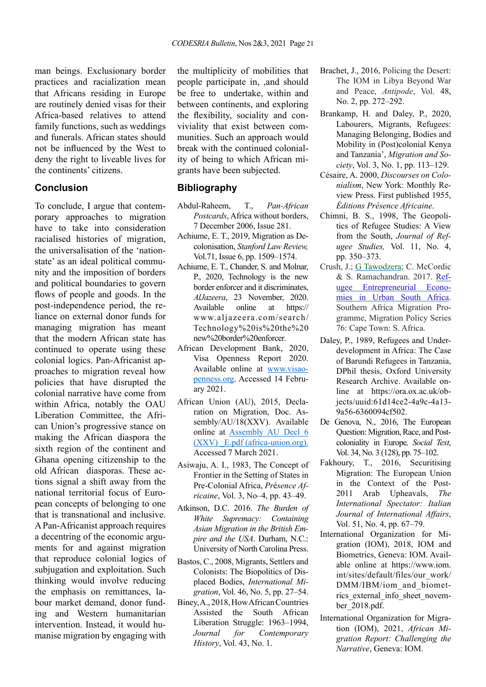man beings. Exclusionary border practices and racialization mean that Africans residing in Europe are routinely denied visas for their Africa-based relatives to attend family functions, such as weddings and funerals. African states should not be influenced by the West to deny the right to liveable lives for the continents' citizens.

#### **Conclusion**

To conclude, I argue that contemporary approaches to migration have to take into consideration racialised histories of migration, the universalisation of the 'nationstate' as an ideal political community and the imposition of borders and political boundaries to govern flows of people and goods. In the post-independence period, the reliance on external donor funds for managing migration has meant that the modern African state has continued to operate using these colonial logics. Pan-Africanist approaches to migration reveal how policies that have disrupted the colonial narrative have come from within Africa, notably the OAU Liberation Committee, the African Union's progressive stance on making the African diaspora the sixth region of the continent and Ghana opening citizenship to the old African diasporas. These actions signal a shift away from the national territorial focus of European concepts of belonging to one that is transnational and inclusive. A Pan-Africanist approach requires a decentring of the economic arguments for and against migration that reproduce colonial logics of subjugation and exploitation. Such thinking would involve reducing the emphasis on remittances, labour market demand, donor funding and Western humanitarian intervention. Instead, it would humanise migration by engaging with

the multiplicity of mobilities that people participate in, ,and should be free to undertake, within and between continents, and exploring the flexibility, sociality and conviviality that exist between communities. Such an approach would break with the continued coloniality of being to which African migrants have been subjected.

#### **Bibliography**

- Abdul-Raheem, T., *Pan-African Postcards*, Africa without borders, 7 December 2006, Issue 281.
- Achiume, E. T., 2019, Migration as Decolonisation, *Stanford Law Review,* Vol.71, Issue 6, pp. 1509–1574.
- Achiume, E. T., Chander, S. and Molnar, P., 2020, Technology is the new border enforcer and it discriminates, *AlJazeera*, 23 November, 2020. Available online at https:// www.aljazeera.com/search/ Technology%20is%20the%20 new%20border%20enforcer.
- African Development Bank, 2020, Visa Openness Report 2020. Available online at [www.visao](http://www.visaopenness.org)[penness.org](http://www.visaopenness.org). Accessed 14 February 2021.
- African Union (AU), 2015, Declaration on Migration, Doc. Assembly/AU/18(XXV). Available online at [Assembly AU Decl 6](https://portal.africa-union.org/DVD/Documents/DOC-AU-DEC/Assembly%20AU%20Decl%206%20(XXV)%20_E.pdf)  (XXV) E.pdf (africa-union.org). Accessed 7 March 2021.
- Asiwaju, A. I., 1983, The Concept of Frontier in the Setting of States in Pre-Colonial Africa, *Pr*é*sence Africaine*, Vol. 3, No–4, pp. 43–49.
- Atkinson, D.C. 2016. *The Burden of White Supremacy: Containing Asian Migration in the British Empire and the USA*. Durham, N.C.: University of North Carolina Press.
- Bastos, C., 2008, Migrants, Settlers and Colonists: The Biopolitics of Displaced Bodies, *International Migration*, Vol. 46, No. 5, pp. 27–54.
- Biney, A., 2018, How African Countries Assisted the South African Liberation Struggle: 1963–1994, *[Journal for Contemporary](https://journals.co.za/journal/contemp)  [History](https://journals.co.za/journal/contemp)*, Vol. 43, No. 1.
- Brachet, J., 2016, Policing the Desert: The IOM in Libya Beyond War and Peace, *Antipode*, Vol. 48, No. 2, pp. 272–292.
- Brankamp, H. and Daley, P., 2020, Labourers, Migrants, Refugees: Managing Belonging, Bodies and Mobility in (Post)colonial Kenya and Tanzania', *Migration and Society*, Vol. 3, No. 1, pp. 113–129.
- Césaire, A. 2000, *Discourses on Colonialism*, New York: Monthly Review Press. First published 1955, *Éditions Présence Africaine*.
- Chimni, B. S., 1998, The Geopolitics of Refugee Studies: A View from the South, *Journal of Refugee Studies,* Vol. 11, No. 4, pp. 350–373.
- Crush, J.; [G Tawodzera;](https://scholar.google.com/citations?user=fomiDusAAAAJ&hl=en&oi=sra) C. McCordic & S. Ramachandran. 2017. [Ref](https://books.google.com/books?hl=en&lr=&id=-ecvDwAAQBAJ&oi=fnd&pg=PP1&dq=refugee+economies+&ots=28Rss8uNtx&sig=NPpdMLAQ-Rbmv6YmaiSQ7YSdCts)ugee [Entrepreneurial](https://books.google.com/books?hl=en&lr=&id=-ecvDwAAQBAJ&oi=fnd&pg=PP1&dq=refugee+economies+&ots=28Rss8uNtx&sig=NPpdMLAQ-Rbmv6YmaiSQ7YSdCts) Economies [in Urban South Africa](https://books.google.com/books?hl=en&lr=&id=-ecvDwAAQBAJ&oi=fnd&pg=PP1&dq=refugee+economies+&ots=28Rss8uNtx&sig=NPpdMLAQ-Rbmv6YmaiSQ7YSdCts). Southern Africa Migration Programme, Migration Policy Series 76: Cape Town: S. Africa.
- Daley, P., 1989, Refugees and Underdevelopment in Africa: The Case of Barundi Refugees in Tanzania, DPhil thesis, Oxford University Research Archive. Available online at https://ora.ox.ac.uk/objects/uuid:61d14ce2-4a9c-4a13- 9a56-6360094cf502.
- De Genova, N., 2016, The European Question: Migration, Race, and Postcoloniality in Europe*, Social Text*, Vol. 34, No. 3 (128), pp. 75–102.
- Fakhoury, T., 2016, Securitising Migration: The European Union in the Context of the Post-2011 Arab Upheavals, *The International Spectator: Italian Journal of International Affairs*, Vol. 51, No. 4, pp. 67–79.
- International Organization for Migration (IOM), 2018, IOM and Biometrics, Geneva: IOM. Available online at https://www.iom. int/sites/default/files/our\_work/ DMM/IBM/iom\_and\_biometrics external info sheet november\_2018.pdf.
- International Organization for Migration (IOM), 2021, *African Migration Report: Challenging the Narrative*, Geneva: IOM.